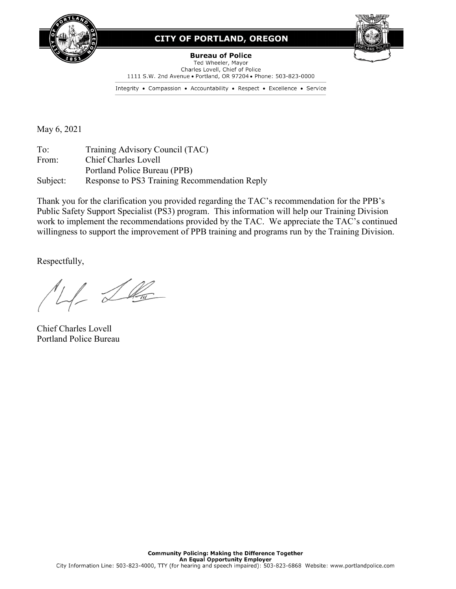

## **CITY OF PORTLAND, OREGON**



**Bureau of Police** Ted Wheeler, Mayor Charles Lovell, Chief of Police 1111 S.W. 2nd Avenue . Portland, OR 97204 . Phone: 503-823-0000

Integrity • Compassion • Accountability • Respect • Excellence • Service

May 6, 2021

To: Training Advisory Council (TAC) From: Chief Charles Lovell Portland Police Bureau (PPB) Subject: Response to PS3 Training Recommendation Reply

Thank you for the clarification you provided regarding the TAC's recommendation for the PPB's Public Safety Support Specialist (PS3) program. This information will help our Training Division work to implement the recommendations provided by the TAC. We appreciate the TAC's continued willingness to support the improvement of PPB training and programs run by the Training Division.

Respectfully,

M Lla

Chief Charles Lovell Portland Police Bureau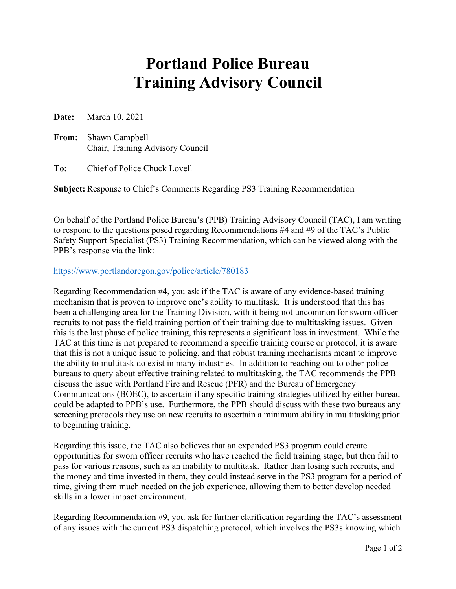## **Portland Police Bureau Training Advisory Council**

**Date:** March 10, 2021

**From:** Shawn Campbell Chair, Training Advisory Council

**To:** Chief of Police Chuck Lovell

**Subject:** Response to Chief's Comments Regarding PS3 Training Recommendation

On behalf of the Portland Police Bureau's (PPB) Training Advisory Council (TAC), I am writing to respond to the questions posed regarding Recommendations #4 and #9 of the TAC's Public Safety Support Specialist (PS3) Training Recommendation, which can be viewed along with the PPB's response via the link:

## <https://www.portlandoregon.gov/police/article/780183>

Regarding Recommendation #4, you ask if the TAC is aware of any evidence-based training mechanism that is proven to improve one's ability to multitask. It is understood that this has been a challenging area for the Training Division, with it being not uncommon for sworn officer recruits to not pass the field training portion of their training due to multitasking issues. Given this is the last phase of police training, this represents a significant loss in investment. While the TAC at this time is not prepared to recommend a specific training course or protocol, it is aware that this is not a unique issue to policing, and that robust training mechanisms meant to improve the ability to multitask do exist in many industries. In addition to reaching out to other police bureaus to query about effective training related to multitasking, the TAC recommends the PPB discuss the issue with Portland Fire and Rescue (PFR) and the Bureau of Emergency Communications (BOEC), to ascertain if any specific training strategies utilized by either bureau could be adapted to PPB's use. Furthermore, the PPB should discuss with these two bureaus any screening protocols they use on new recruits to ascertain a minimum ability in multitasking prior to beginning training.

Regarding this issue, the TAC also believes that an expanded PS3 program could create opportunities for sworn officer recruits who have reached the field training stage, but then fail to pass for various reasons, such as an inability to multitask. Rather than losing such recruits, and the money and time invested in them, they could instead serve in the PS3 program for a period of time, giving them much needed on the job experience, allowing them to better develop needed skills in a lower impact environment.

Regarding Recommendation #9, you ask for further clarification regarding the TAC's assessment of any issues with the current PS3 dispatching protocol, which involves the PS3s knowing which